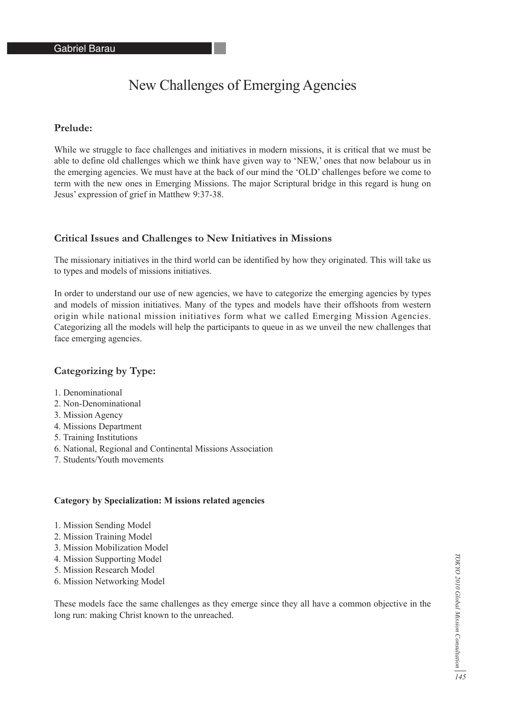# New Challenges of Emerging Agencies

## **Prelude:**

While we struggle to face challenges and initiatives in modern missions, it is critical that we must be able to define old challenges which we think have given way to 'NEW,' ones that now belabour us in the emerging agencies. We must have at the back of our mind the 'OLD' challenges before we come to term with the new ones in Emerging Missions. The major Scriptural bridge in this regard is hung on Jesus' expression of grief in Matthew 9:37-38.

#### **Critical Issues and Challenges to New Initiatives in Missions**

The missionary initiatives in the third world can be identified by how they originated. This will take us to types and models of missions initiatives.

In order to understand our use of new agencies, we have to categorize the emerging agencies by types and models of mission initiatives. Many of the types and models have their offshoots from western origin while national mission initiatives form what we called Emerging Mission Agencies. Categorizing all the models will help the participants to queue in as we unveil the new challenges that face emerging agencies.

### **Categorizing by Type:**

- 1. Denominational
- 2. Non-Denominational
- 3. Mission Agency
- 4. Missions Department
- 5. Training Institutions
- 6. National, Regional and Continental Missions Association
- 7. Students/Youth movements

#### **Category by Specialization: M issions related agencies**

- 1. Mission Sending Model
- 2. Mission Training Model
- 3. Mission Mobilization Model
- 4. Mission Supporting Model
- 5. Mission Research Model
- 6. Mission Networking Model

These models face the same challenges as they emerge since they all have a common objective in the long run: making Christ known to the unreached.

TOKYO 2010 Global Mission Consultation *145 TOKYO 2010 Global Mission Consultation*